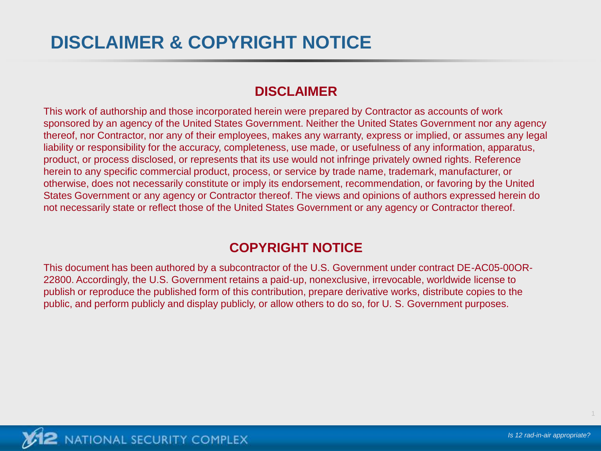#### **DISCLAIMER**

This work of authorship and those incorporated herein were prepared by Contractor as accounts of work sponsored by an agency of the United States Government. Neither the United States Government nor any agency thereof, nor Contractor, nor any of their employees, makes any warranty, express or implied, or assumes any legal liability or responsibility for the accuracy, completeness, use made, or usefulness of any information, apparatus, product, or process disclosed, or represents that its use would not infringe privately owned rights. Reference herein to any specific commercial product, process, or service by trade name, trademark, manufacturer, or otherwise, does not necessarily constitute or imply its endorsement, recommendation, or favoring by the United States Government or any agency or Contractor thereof. The views and opinions of authors expressed herein do not necessarily state or reflect those of the United States Government or any agency or Contractor thereof.

#### **COPYRIGHT NOTICE**

This document has been authored by a subcontractor of the U.S. Government under contract DE-AC05-00OR-22800. Accordingly, the U.S. Government retains a paid-up, nonexclusive, irrevocable, worldwide license to publish or reproduce the published form of this contribution, prepare derivative works, distribute copies to the public, and perform publicly and display publicly, or allow others to do so, for U. S. Government purposes.

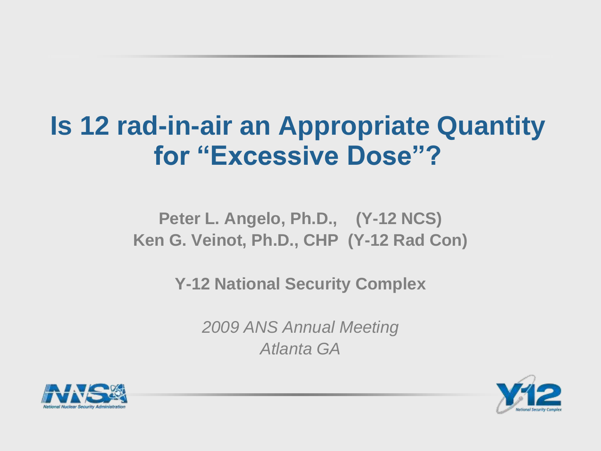# **Is 12 rad-in-air an Appropriate Quantity for "Excessive Dose"?**

#### **Peter L. Angelo, Ph.D., (Y-12 NCS) Ken G. Veinot, Ph.D., CHP (Y-12 Rad Con)**

**Y-12 National Security Complex**

*2009 ANS Annual Meeting Atlanta GA*



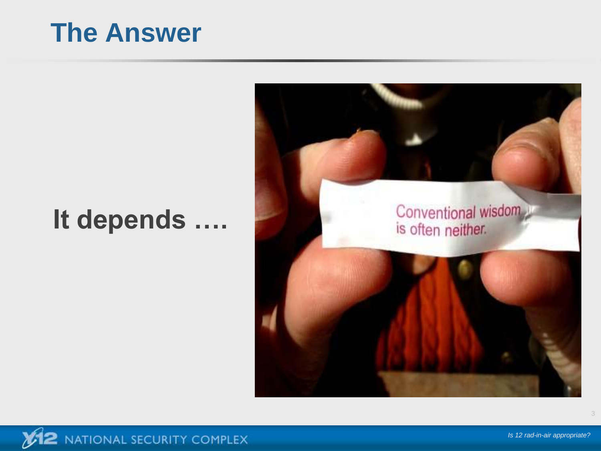## **The Answer**

# **It depends ….**

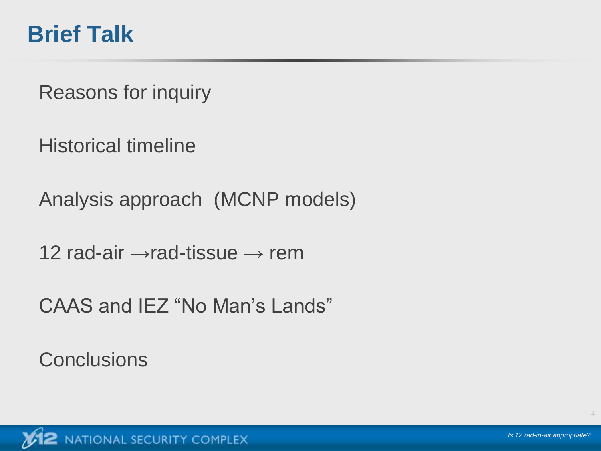#### **Brief Talk**

Reasons for inquiry

Historical timeline

Analysis approach (MCNP models)

12 rad-air  $\rightarrow$ rad-tissue  $\rightarrow$  rem

CAAS and IEZ "No Man's Lands"

**Conclusions** 

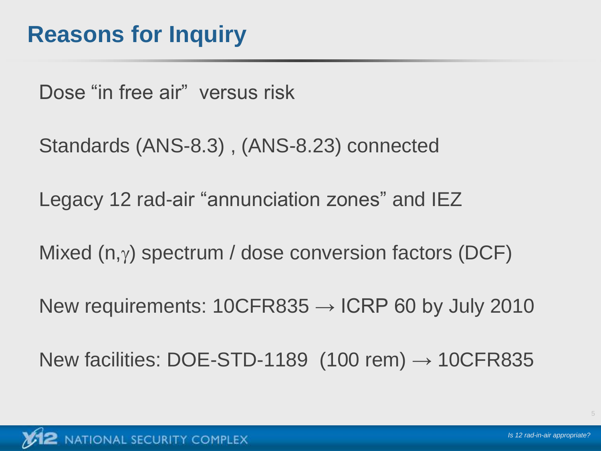Dose "in free air" versus risk

Standards (ANS-8.3) , (ANS-8.23) connected

Legacy 12 rad-air "annunciation zones" and IEZ

Mixed  $(n,y)$  spectrum / dose conversion factors (DCF)

New requirements:  $10CFR835 \rightarrow ICRP60$  by July 2010

New facilities: DOE-STD-1189  $(100 \text{ rem}) \rightarrow 10 \text{CF}R835$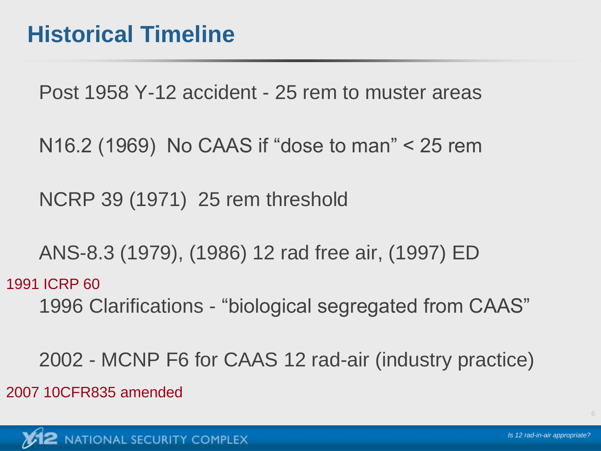Post 1958 Y-12 accident - 25 rem to muster areas

N16.2 (1969) No CAAS if "dose to man" < 25 rem

NCRP 39 (1971) 25 rem threshold

ANS-8.3 (1979), (1986) 12 rad free air, (1997) ED

1996 Clarifications - "biological segregated from CAAS" 1991 ICRP 60

2002 - MCNP F6 for CAAS 12 rad-air (industry practice) 2007 10CFR835 amended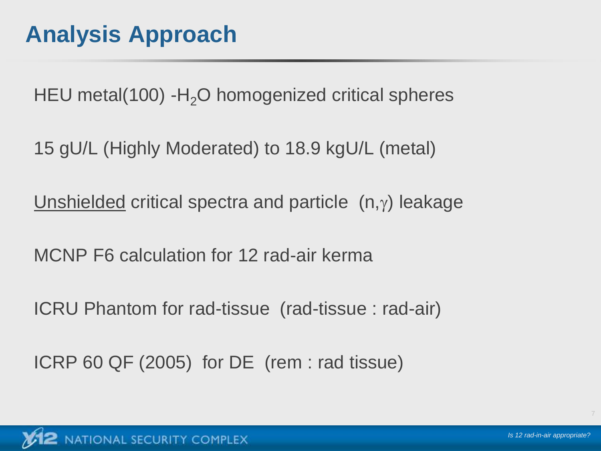HEU metal(100) - $H<sub>2</sub>O$  homogenized critical spheres

15 gU/L (Highly Moderated) to 18.9 kgU/L (metal)

Unshielded critical spectra and particle  $(n,y)$  leakage

MCNP F6 calculation for 12 rad-air kerma

ICRU Phantom for rad-tissue (rad-tissue : rad-air)

ICRP 60 QF (2005) for DE (rem : rad tissue)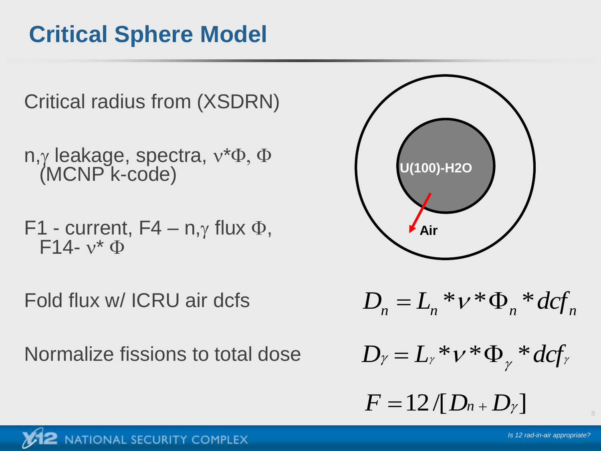## **Critical Sphere Model**



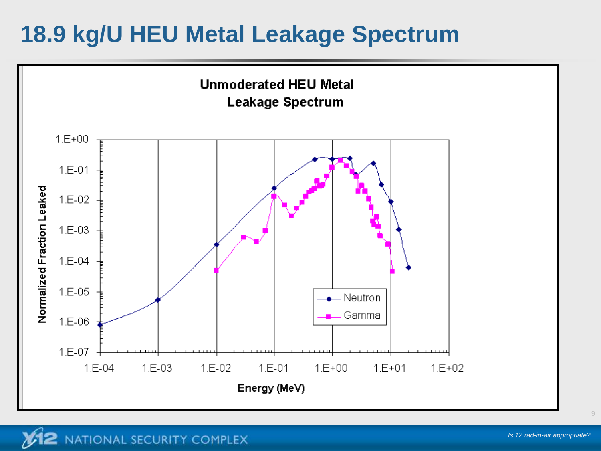### **18.9 kg/U HEU Metal Leakage Spectrum**

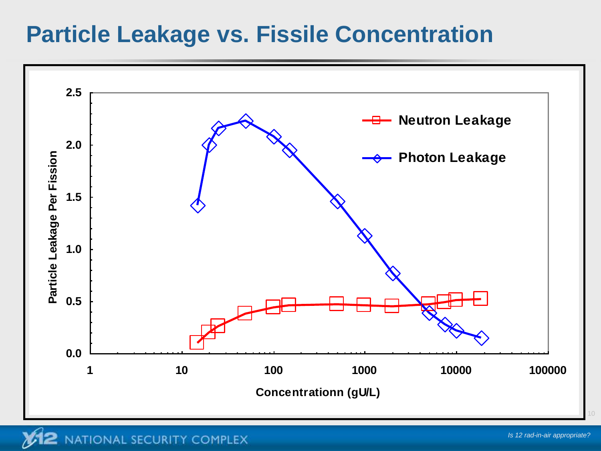#### **Particle Leakage vs. Fissile Concentration**

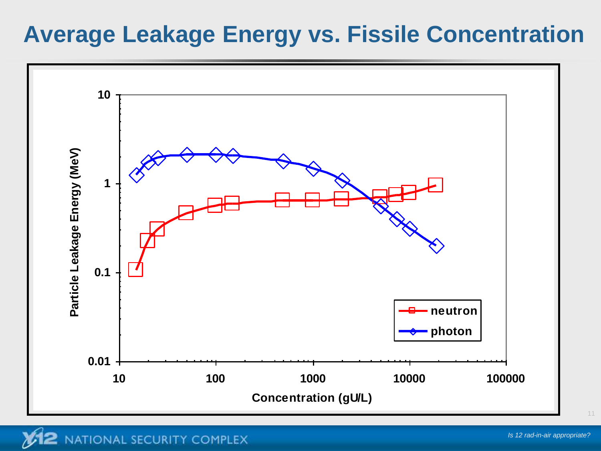#### **Average Leakage Energy vs. Fissile Concentration**

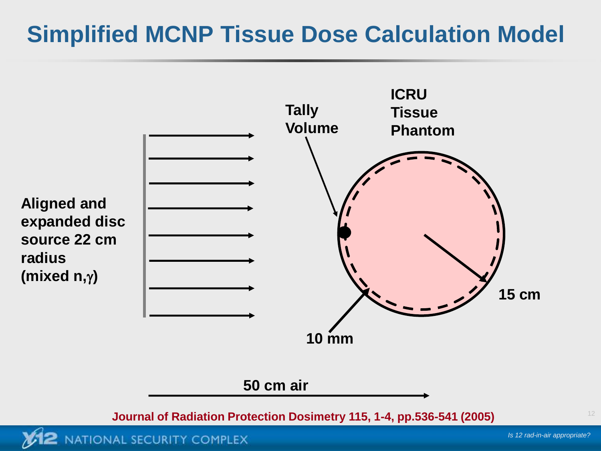### **Simplified MCNP Tissue Dose Calculation Model**



NATIONAL SECURITY COMPLEX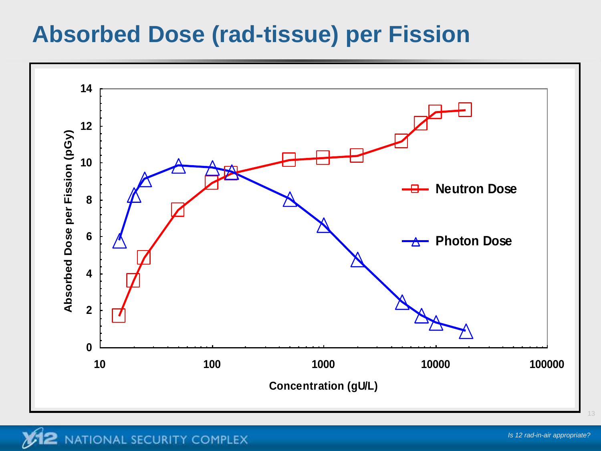#### **Absorbed Dose (rad-tissue) per Fission**

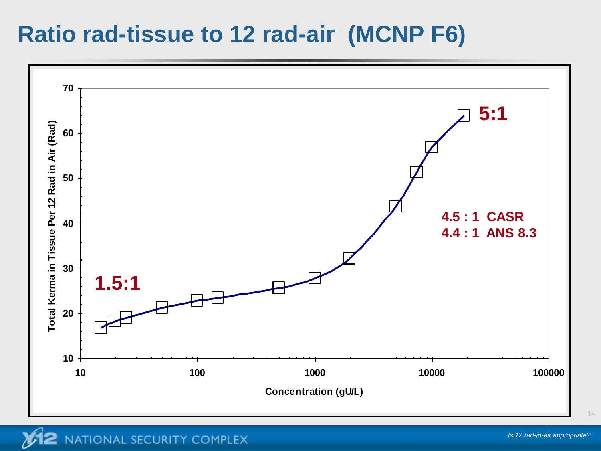#### **Ratio rad-tissue to 12 rad-air (MCNP F6)**

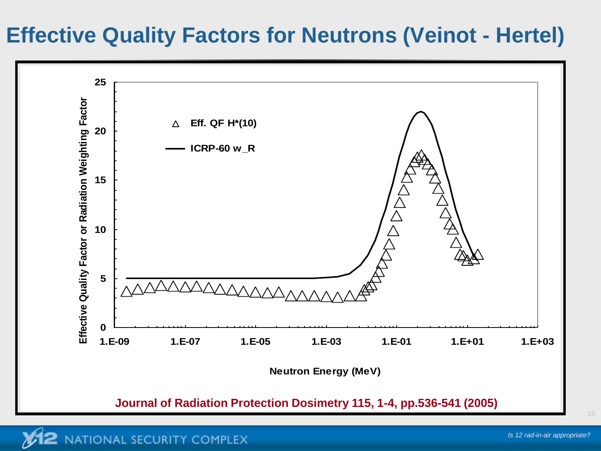#### **Effective Quality Factors for Neutrons (Veinot - Hertel)**

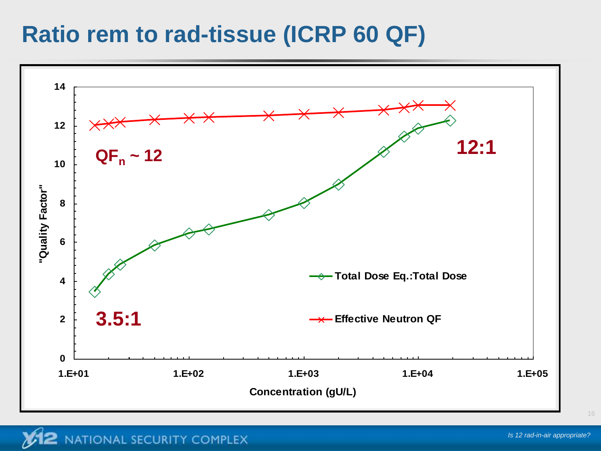#### **Ratio rem to rad-tissue (ICRP 60 QF)**

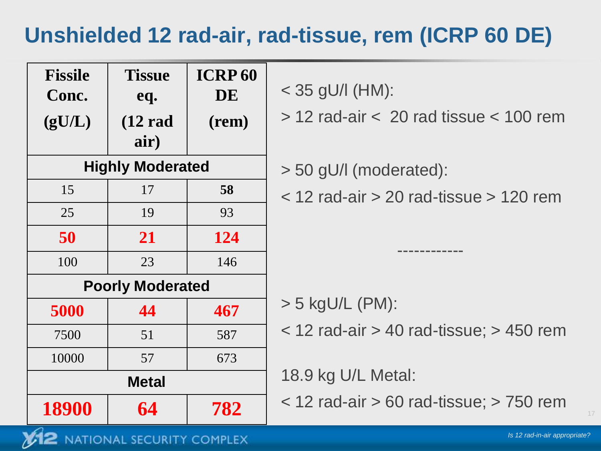#### **Unshielded 12 rad-air, rad-tissue, rem (ICRP 60 DE)**

| <b>Fissile</b><br>Conc.<br>(gU/L) | <b>Tissue</b><br>eq.<br>$(12 \text{ rad})$<br>air) | <b>ICRP 60</b><br>DE<br>(rem) | $<$ 35 gU/I (HM):<br>$>$ 12 rad-air $<$ 20 rad tissue $<$ 100 rem |
|-----------------------------------|----------------------------------------------------|-------------------------------|-------------------------------------------------------------------|
| <b>Highly Moderated</b>           |                                                    |                               | $>$ 50 gU/I (moderated):                                          |
| 15                                | 17                                                 | 58                            | $<$ 12 rad-air $>$ 20 rad-tissue $>$ 120 rem                      |
| 25                                | 19                                                 | 93                            |                                                                   |
| 50                                | 21                                                 | 124                           |                                                                   |
| 100                               | 23                                                 | 146                           |                                                                   |
| <b>Poorly Moderated</b>           |                                                    |                               |                                                                   |
| 5000                              | 44                                                 | 467                           | $>$ 5 kgU/L (PM):                                                 |
| 7500                              | 51                                                 | 587                           | $<$ 12 rad-air > 40 rad-tissue; > 450 rem                         |
| 10000                             | 57                                                 | 673                           |                                                                   |
| <b>Metal</b>                      |                                                    |                               | 18.9 kg U/L Metal:                                                |
| 18900                             | 64                                                 | 782                           | $<$ 12 rad-air $>$ 60 rad-tissue; $>$ 750 rem                     |

2 NATIONAL SECURITY COMPLEX

 $\mathcal{U}^1$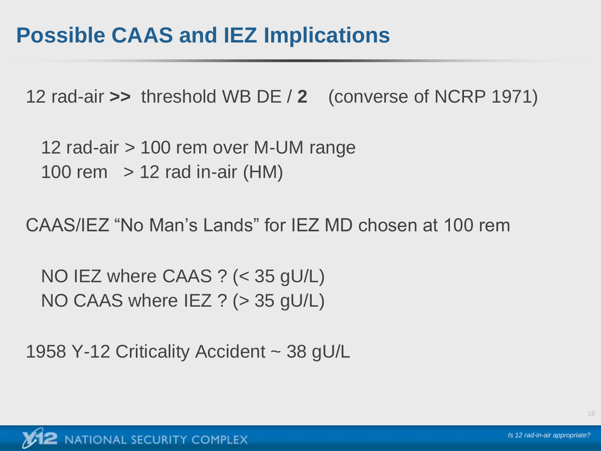12 rad-air **>>** threshold WB DE / **2** (converse of NCRP 1971)

12 rad-air > 100 rem over M-UM range 100 rem  $\ge$  12 rad in-air (HM)

CAAS/IEZ "No Man's Lands" for IEZ MD chosen at 100 rem

NO IEZ where CAAS ? (< 35 gU/L) NO CAAS where IEZ ? (> 35 gU/L)

1958 Y-12 Criticality Accident ~ 38 gU/L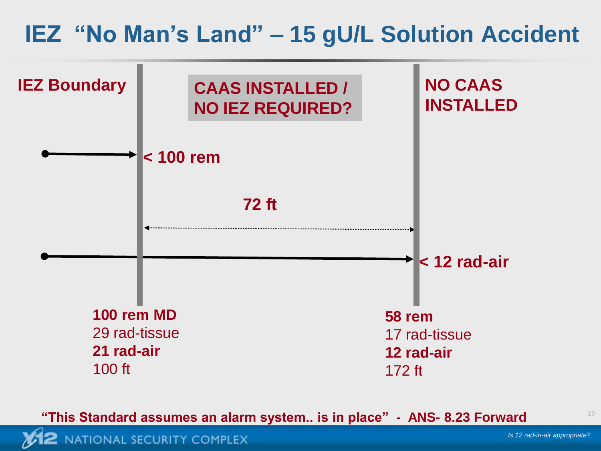#### **IEZ "No Man's Land" – 15 gU/L Solution Accident**



**"This Standard assumes an alarm system.. is in place" - ANS- 8.23 Forward**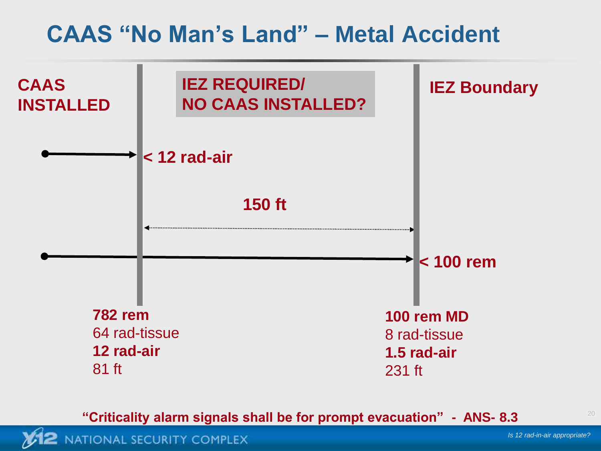#### **CAAS "No Man's Land" – Metal Accident**



**"Criticality alarm signals shall be for prompt evacuation" - ANS- 8.3**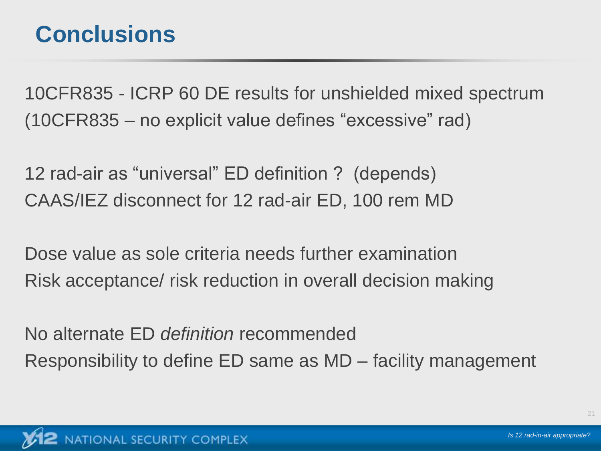#### **Conclusions**

10CFR835 - ICRP 60 DE results for unshielded mixed spectrum (10CFR835 – no explicit value defines "excessive" rad)

12 rad-air as "universal" ED definition ? (depends) CAAS/IEZ disconnect for 12 rad-air ED, 100 rem MD

Dose value as sole criteria needs further examination Risk acceptance/ risk reduction in overall decision making

No alternate ED *definition* recommended Responsibility to define ED same as MD – facility management

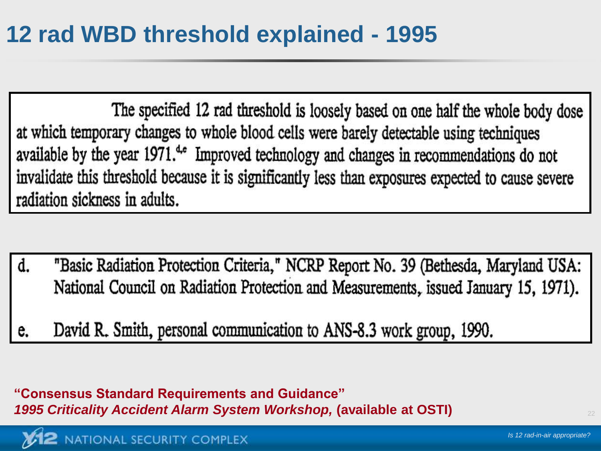The specified 12 rad threshold is loosely based on one half the whole body dose at which temporary changes to whole blood cells were barely detectable using techniques available by the year 1971.<sup>4</sup> Improved technology and changes in recommendations do not invalidate this threshold because it is significantly less than exposures expected to cause severe radiation sickness in adults.

- "Basic Radiation Protection Criteria," NCRP Report No. 39 (Bethesda, Maryland USA: d. National Council on Radiation Protection and Measurements, issued January 15, 1971).
- David R. Smith, personal communication to ANS-8.3 work group, 1990. e.

**"Consensus Standard Requirements and Guidance"**  *1995 Criticality Accident Alarm System Workshop,* **(available at OSTI)**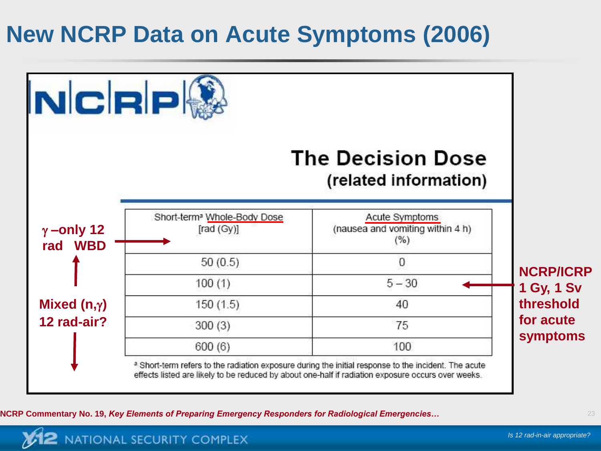## **New NCRP Data on Acute Symptoms (2006)**



**NCRP Commentary No. 19,** *Key Elements of Preparing Emergency Responders for Radiological Emergencies…*

NATIONAL SECURITY COMPLEX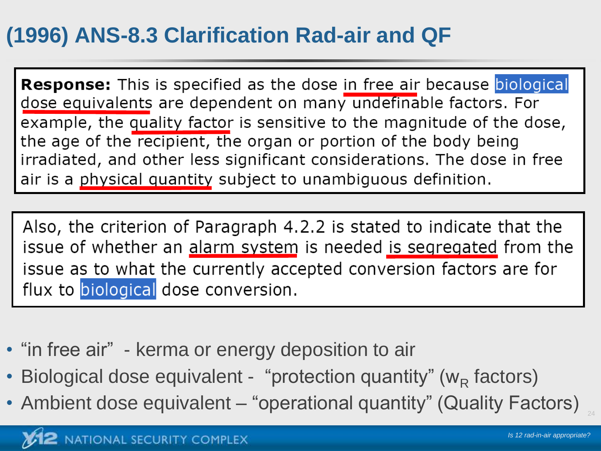#### **(1996) ANS-8.3 Clarification Rad-air and QF**

**Response:** This is specified as the dose in free air because biological dose equivalents are dependent on many undefinable factors. For example, the quality factor is sensitive to the magnitude of the dose, the age of the recipient, the organ or portion of the body being irradiated, and other less significant considerations. The dose in free air is a physical quantity subject to unambiguous definition.

Also, the criterion of Paragraph 4.2.2 is stated to indicate that the issue of whether an alarm system is needed is segregated from the issue as to what the currently accepted conversion factors are for flux to biological dose conversion.

- "in free air" kerma or energy deposition to air
- Biological dose equivalent "protection quantity" ( $w_R$  factors)
- Ambient dose equivalent "operational quantity" (Quality Factors)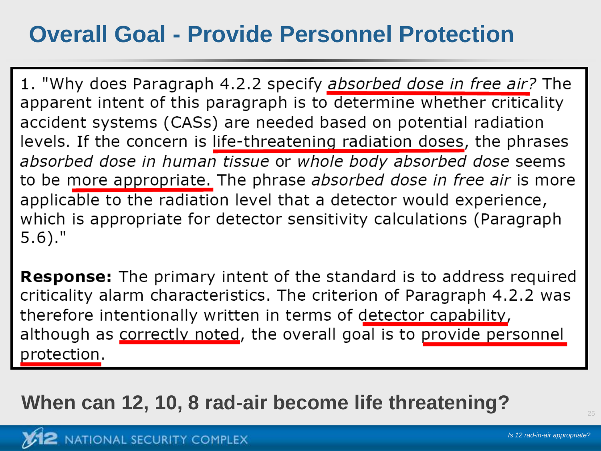### **Overall Goal - Provide Personnel Protection**

1. "Why does Paragraph 4.2.2 specify *absorbed dose in free air?* The apparent intent of this paragraph is to determine whether criticality accident systems (CASs) are needed based on potential radiation levels. If the concern is life-threatening radiation doses, the phrases absorbed dose in human tissue or whole body absorbed dose seems to be more appropriate. The phrase absorbed dose in free air is more applicable to the radiation level that a detector would experience, which is appropriate for detector sensitivity calculations (Paragraph  $5.6$ )."

**Response:** The primary intent of the standard is to address required criticality alarm characteristics. The criterion of Paragraph 4.2.2 was therefore intentionally written in terms of detector capability, although as correctly noted, the overall goal is to provide personnel protection.

**When can 12, 10, 8 rad-air become life threatening?**